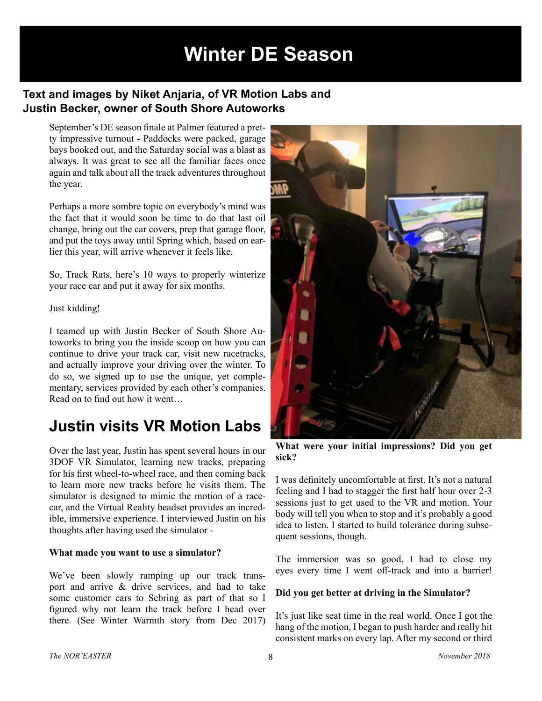# **Winter DE Season**

### **Text and images by Niket Anjaria, of VR Motion Labs and Justin Becker, owner of South Shore Autoworks**

September's DE season fnale at Palmer featured a pretty impressive turnout - Paddocks were packed, garage bays booked out, and the Saturday social was a blast as always. It was great to see all the familiar faces once again and talk about all the track adventures throughout the year.

Perhaps a more sombre topic on everybody's mind was the fact that it would soon be time to do that last oil change, bring out the car covers, prep that garage floor, and put the toys away until Spring which, based on earlier this year, will arrive whenever it feels like.

So, Track Rats, here's 10 ways to properly winterize your race car and put it away for six months.

#### Just kidding!

I teamed up with Justin Becker of South Shore Autoworks to bring you the inside scoop on how you can continue to drive your track car, visit new racetracks, and actually improve your driving over the winter. To do so, we signed up to use the unique, yet complementary, services provided by each other's companies. Read on to fnd out how it went…

## **Justin visits VR Motion Labs**

Over the last year, Justin has spent several hours in our 3DOF VR Simulator, learning new tracks, preparing for his frst wheel-to-wheel race, and then coming back to learn more new tracks before he visits them. The simulator is designed to mimic the motion of a racecar, and the Virtual Reality headset provides an incredible, immersive experience. I interviewed Justin on his thoughts after having used the simulator -

#### **What made you want to use a simulator?**

We've been slowly ramping up our track transport and arrive & drive services, and had to take some customer cars to Sebring as part of that so I fgured why not learn the track before I head over there. (See Winter Warmth story from Dec 2017)



**What were your initial impressions? Did you get sick?** 

I was defnitely uncomfortable at frst. It's not a natural feeling and I had to stagger the frst half hour over 2-3 sessions just to get used to the VR and motion. Your body will tell you when to stop and it's probably a good idea to listen. I started to build tolerance during subsequent sessions, though.

The immersion was so good, I had to close my eyes every time I went off-track and into a barrier!

#### **Did you get better at driving in the Simulator?**

It's just like seat time in the real world. Once I got the hang of the motion, I began to push harder and really hit consistent marks on every lap. After my second or third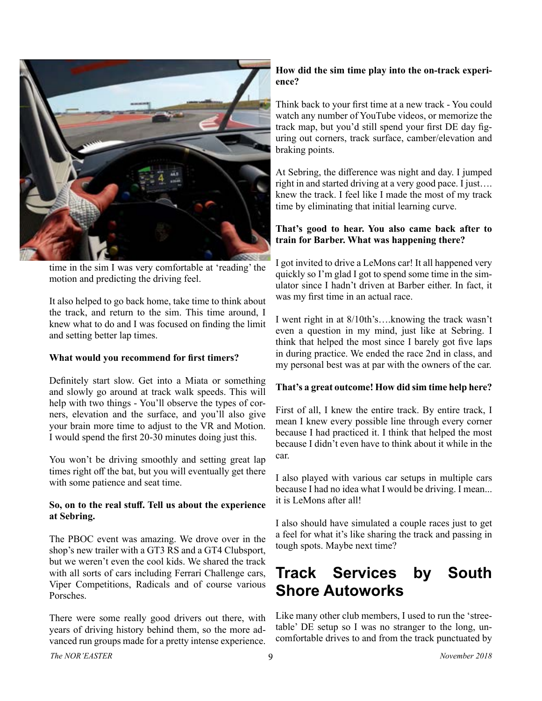

time in the sim I was very comfortable at 'reading' the motion and predicting the driving feel.

It also helped to go back home, take time to think about the track, and return to the sim. This time around, I knew what to do and I was focused on fnding the limit and setting better lap times.

#### **What would you recommend for frst timers?**

Defnitely start slow. Get into a Miata or something and slowly go around at track walk speeds. This will help with two things - You'll observe the types of corners, elevation and the surface, and you'll also give your brain more time to adjust to the VR and Motion. I would spend the frst 20-30 minutes doing just this.

You won't be driving smoothly and setting great lap times right off the bat, but you will eventually get there with some patience and seat time.

#### **So, on to the real stuf. Tell us about the experience at Sebring.**

The PBOC event was amazing. We drove over in the shop's new trailer with a GT3 RS and a GT4 Clubsport, but we weren't even the cool kids. We shared the track with all sorts of cars including Ferrari Challenge cars, Viper Competitions, Radicals and of course various Porsches.

There were some really good drivers out there, with years of driving history behind them, so the more advanced run groups made for a pretty intense experience.

#### **How did the sim time play into the on-track experience?**

Think back to your frst time at a new track - You could watch any number of YouTube videos, or memorize the track map, but you'd still spend your frst DE day fguring out corners, track surface, camber/elevation and braking points.

At Sebring, the diference was night and day. I jumped right in and started driving at a very good pace. I just…. knew the track. I feel like I made the most of my track time by eliminating that initial learning curve.

#### **That's good to hear. You also came back after to train for Barber. What was happening there?**

I got invited to drive a LeMons car! It all happened very quickly so I'm glad I got to spend some time in the simulator since I hadn't driven at Barber either. In fact, it was my frst time in an actual race.

I went right in at 8/10th's….knowing the track wasn't even a question in my mind, just like at Sebring. I think that helped the most since I barely got fve laps in during practice. We ended the race 2nd in class, and my personal best was at par with the owners of the car.

#### **That's a great outcome! How did sim time help here?**

First of all, I knew the entire track. By entire track, I mean I knew every possible line through every corner because I had practiced it. I think that helped the most because I didn't even have to think about it while in the car.

I also played with various car setups in multiple cars because I had no idea what I would be driving. I mean... it is LeMons after all!

I also should have simulated a couple races just to get a feel for what it's like sharing the track and passing in tough spots. Maybe next time?

## **Track Services by South Shore Autoworks**

Like many other club members, I used to run the 'streetable' DE setup so I was no stranger to the long, uncomfortable drives to and from the track punctuated by

*The NOR'EASTER* 9 *November 2018*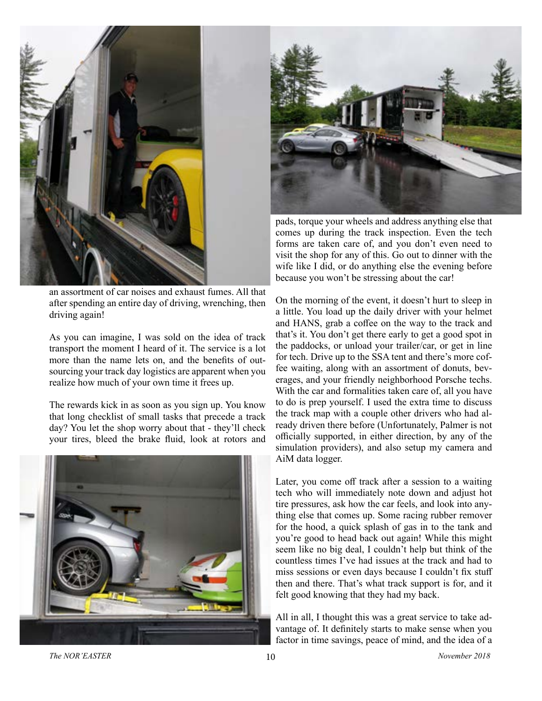

an assortment of car noises and exhaust fumes. All that after spending an entire day of driving, wrenching, then driving again!

As you can imagine, I was sold on the idea of track transport the moment I heard of it. The service is a lot more than the name lets on, and the benefts of outsourcing your track day logistics are apparent when you realize how much of your own time it frees up.

The rewards kick in as soon as you sign up. You know that long checklist of small tasks that precede a track day? You let the shop worry about that - they'll check your tires, bleed the brake fuid, look at rotors and





pads, torque your wheels and address anything else that comes up during the track inspection. Even the tech forms are taken care of, and you don't even need to visit the shop for any of this. Go out to dinner with the wife like I did, or do anything else the evening before because you won't be stressing about the car!

On the morning of the event, it doesn't hurt to sleep in a little. You load up the daily driver with your helmet and HANS, grab a coffee on the way to the track and that's it. You don't get there early to get a good spot in the paddocks, or unload your trailer/car, or get in line for tech. Drive up to the SSA tent and there's more coffee waiting, along with an assortment of donuts, beverages, and your friendly neighborhood Porsche techs. With the car and formalities taken care of, all you have to do is prep yourself. I used the extra time to discuss the track map with a couple other drivers who had already driven there before (Unfortunately, Palmer is not officially supported, in either direction, by any of the simulation providers), and also setup my camera and AiM data logger.

Later, you come off track after a session to a waiting tech who will immediately note down and adjust hot tire pressures, ask how the car feels, and look into anything else that comes up. Some racing rubber remover for the hood, a quick splash of gas in to the tank and you're good to head back out again! While this might seem like no big deal, I couldn't help but think of the countless times I've had issues at the track and had to miss sessions or even days because I couldn't fix stuff then and there. That's what track support is for, and it felt good knowing that they had my back.

All in all, I thought this was a great service to take advantage of. It defnitely starts to make sense when you factor in time savings, peace of mind, and the idea of a

*The NOR'EASTER* 10 *November 2018*